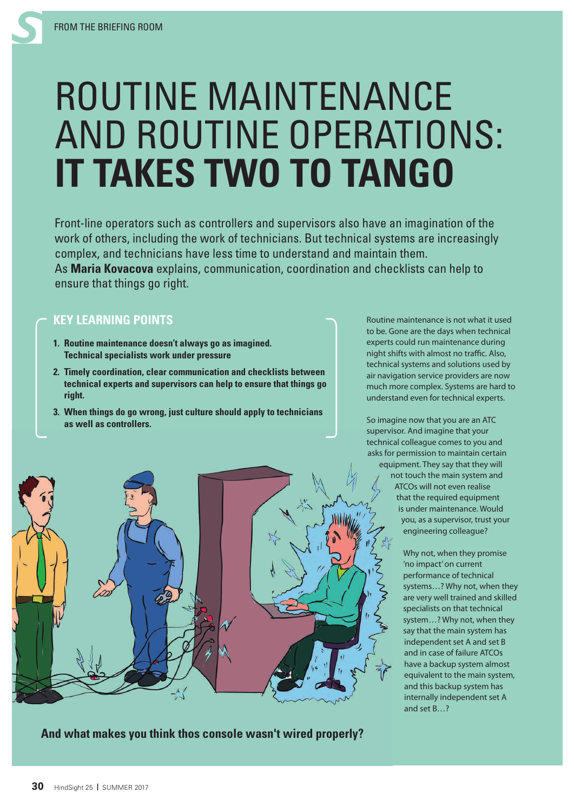## ROUTINE MAINTENANCE AND ROUTINE OPERATIONS: **IT TAKES TWO TO TANGO**

Front-line operators such as controllers and supervisors also have an imagination of the work of others, including the work of technicians. But technical systems are increasingly complex, and technicians have less time to understand and maintain them. As **Maria Kovacova** explains, communication, coordination and checklists can help to ensure that things go right.

## **KEY LEARNING POINTS**

- **1. Routine maintenance doesn't always go as imagined. Technical specialists work under pressure**
- **2. Timely coordination, clear communication and checklists between technical experts and supervisors can help to ensure that things go right.**
- **3. When things do go wrong, just culture should apply to technicians as well as controllers.**

Routine maintenance is not what it used to be. Gone are the days when technical experts could run maintenance during night shifts with almost no traffic. Also, technical systems and solutions used by air navigation service providers are now much more complex. Systems are hard to understand even for technical experts.

So imagine now that you are an ATC supervisor. And imagine that your technical colleague comes to you and asks for permission to maintain certain equipment. They say that they will

not touch the main system and ATCOs will not even realise that the required equipment is under maintenance. Would you, as a supervisor, trust your engineering colleague?

> Why not, when they promise 'no impact' on current performance of technical systems…? Why not, when they are very well trained and skilled specialists on that technical system…? Why not, when they say that the main system has independent set A and set B and in case of failure ATCOs have a backup system almost equivalent to the main system, and this backup system has internally independent set A and set B<sup>2</sup>





**And what makes you think thos console wasn't wired properly?**